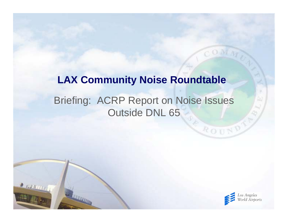### Briefing: ACRP Report on Noise Issues Outside DNL 65 **LAX Community Noise Roundtable**

 $2.0000000$ 



ROUND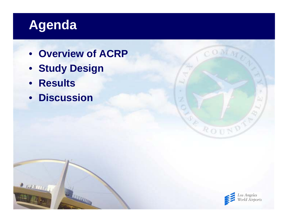# **Agenda**

- **Overview of ACRP**
- **Study Design**
- **Results**

 $27000000$ 

• **Discussion**



COMM

ROUND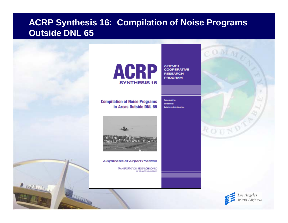#### **ACRP Synthesis 16: Compilation of Noise Programs Outside DNL 65**

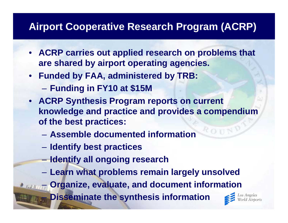### **Airport Cooperative Research Program (ACRP)**

- **ACRP carries out applied research on problems that are shared by airport operating agencies.**
- **Funded by FAA, administered by TRB:**
	- **Holland** Company **Funding in FY10 at \$15M**
- **ACRP Synthesis Program reports on current knowledge and practice and provides a compendium of the best practices:**
	- **Assemble documented information**
	- **Identify best practices**
	- **Identify all ongoing research**
	- **Learn what problems remain largely unsolved**

**Organize, evaluate, and document information**

**Disseminate the synthesis information**

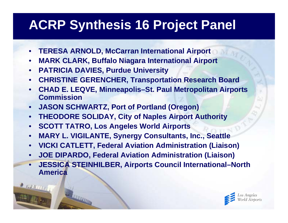# **ACRP Synthesis 16 Project Panel**

- •**TERESA ARNOLD, McCarran International Airport**
- •**MARK CLARK, Buffalo Niagara International Airport**
- $\bullet$ **PATRICIA DAVIES, Purdue University**
- •**CHRISTINE GERENCHER, Transportation Research Board**
- • **CHAD E. LEQVE, Minneapolis–St. Paul Metropolitan Airports Commission**
- •**JASON SCHWARTZ, Port of Portland (Oregon)**
- •**THEODORE SOLIDAY, City of Naples Airport Authority**
- •**SCOTT TATRO, Los Angeles World Airports**
- •**MARY L. VIGILANTE, Synergy Consultants, Inc., Seattle**
- •**VICKI CATLETT, Federal Aviation Administration (Liaison)**
- •**JOE DIPARDO, Federal Aviation Administration (Liaison)**
- $\bullet$  **JESSICA STEINHILBER, Airports Council International–North America**

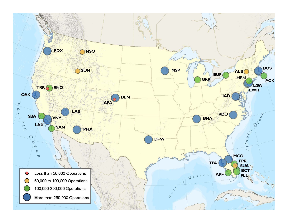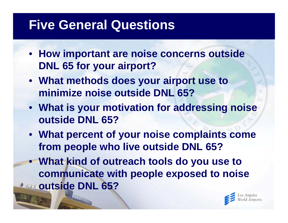### **Five General Questions**

- **How important are noise concerns outside DNL 65 for your airport?**
- **What methods does your airport use to minimize noise outside DNL 65?**
- **What is your motivation for addressing noise outside DNL 65?**
- **What percent of your noise complaints come from people who live outside DNL 65?**
- **What kind of outreach tools do you use to communicate with people exposed to noise Francoutside DNL 65?**

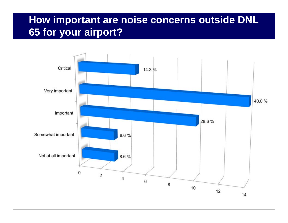### **How important are noise concerns outside DNL 65 for your airport?**

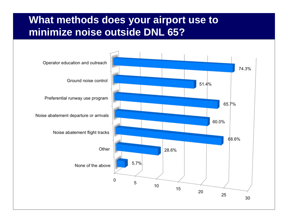#### **What methods does your airport use to minimize noise outside DNL 65?**

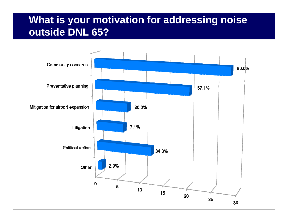#### **What is your motivation for addressing noise outside DNL 65?**

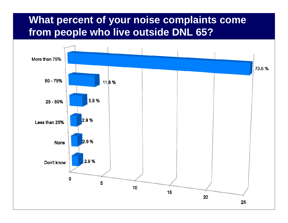#### **What percent of your noise complaints come from people who live outside DNL 65?**

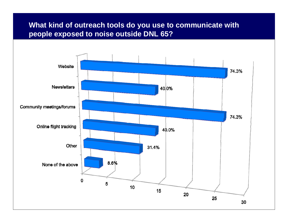#### **What kind of outreach tools do you use to communicate with people exposed to noise outside DNL 65?**

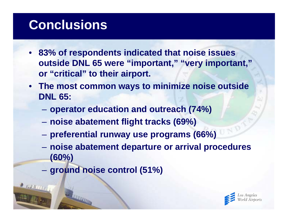### **Conclusions**

- **83% of respondents indicated that noise issues outside DNL 65 were "important," "very important," or "critical" to their airport.**
- **The most common ways to minimize noise outside DNL 65:**
	- **operator education and outreach (74%)**
	- **noise abatement flight tracks (69%)**
	- **Hart Committee preferential runway use programs (66%)**
	- **noise abatement departure or arrival procedures (60%)**
	- –**ground noise control (51%)**

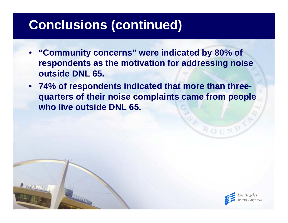# **Conclusions (continued)**

- **"Community concerns" were indicated by 80% of respondents as the motivation for addressing noise outside DNL 65.**
- **74% of respondents indicated that more than threequarters of their noise complaints came from people who live outside DNL 65.**



ROU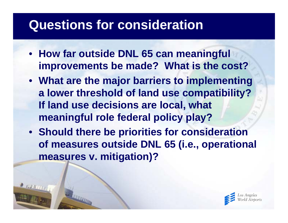### **Questions for consideration**

- **How far outside DNL 65 can meaningful improvements be made? What is the cost?**
- **What are the major barriers to implementing a lower threshold of land use compatibility? If land use decisions are local, what meaningful role federal policy play?**
- **Should there be priorities for consideration of measures outside DNL 65 (i.e., operational measures v. mitigation)?**